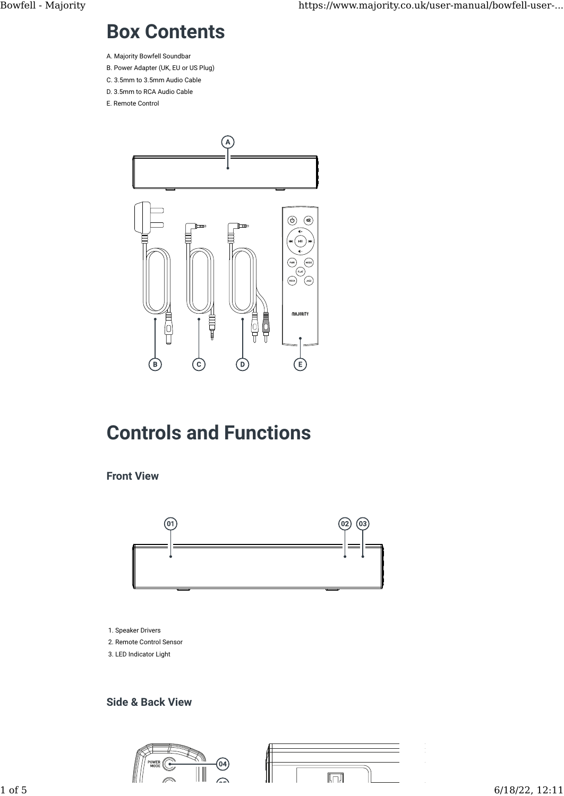# Box Contents

- A. Majority Bowfell Soundbar
- B. Power Adapter (UK, EU or US Plug)
- C. 3.5mm to 3.5mm Audio Cable D. 3.5mm to RCA Audio Cable
- E. Remote Control



# Controls and Functions

#### Front View



- 1. Speaker Drivers 2. Remote Control Sensor
- 3. LED Indicator Light

#### Side & Back View

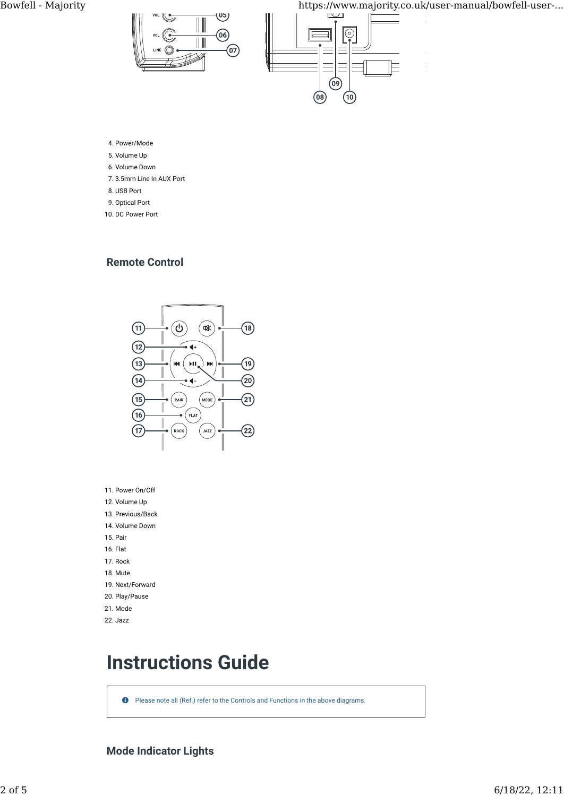Bowfell - Majority https://www.majority.co.uk/user-manual/bowfell-user-...





4. Power/Mode

- 5. Volume Up
- �. Volume Down
- 7. 3.5mm Line In AUX Port
- �. USB Port
- 9. Optical Port
- 10. DC Power Port

#### Remote Control



- 11. Power On/Off
- 12. Volume Up
- 13. Previous/Back
- 14. Volume Down
- 15. Pair
- 1�. Flat
- 17. Rock
- 1�. Mute
- 19. Next/Forward
- 20. Play/Pause
- 21. Mode

#### 22. Jazz

# Instructions Guide

**O** Please note all (Ref.) refer to the Controls and Functions in the above diagrams.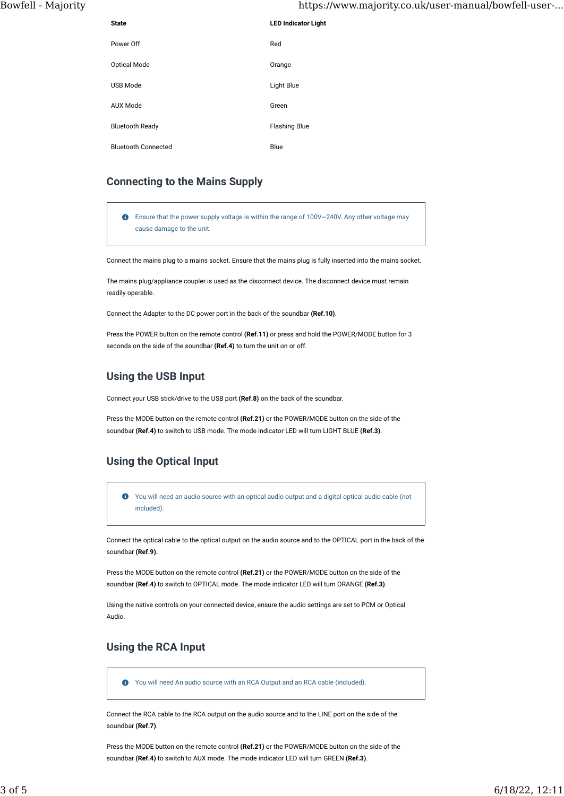| <b>State</b>               | <b>LED Indicator Light</b> |
|----------------------------|----------------------------|
| Power Off                  | Red                        |
| Optical Mode               | Orange                     |
| <b>USB Mode</b>            | Light Blue                 |
| <b>AUX Mode</b>            | Green                      |
| <b>Bluetooth Ready</b>     | <b>Flashing Blue</b>       |
| <b>Bluetooth Connected</b> | Blue                       |

#### Connecting to the Mains Supply

 Ensure that the power supply voltage is within the range of 100V~240V. Any other voltage may cause damage to the unit.

Connect the mains plug to a mains socket. Ensure that the mains plug is fully inserted into the mains socket.

The mains plug/appliance coupler is used as the disconnect device. The disconnect device must remain readily operable.

Connect the Adapter to the DC power port in the back of the soundbar (Ref.10).

Press the POWER button on the remote control (Ref.11) or press and hold the POWER/MODE button for 3 seconds on the side of the soundbar (Ref.4) to turn the unit on or off.

#### Using the USB Input

Connect your USB stick/drive to the USB port (Ref.8) on the back of the soundbar.

Press the MODE button on the remote control (Ref.21) or the POWER/MODE button on the side of the soundbar (Ref.4) to switch to USB mode. The mode indicator LED will turn LIGHT BLUE (Ref.3).

#### Using the Optical Input

 You will need an audio source with an optical audio output and a digital optical audio cable (not included).

Connect the optical cable to the optical output on the audio source and to the OPTICAL port in the back of the soundbar (Ref.9).

Press the MODE button on the remote control (Ref.21) or the POWER/MODE button on the side of the soundbar (Ref.4) to switch to OPTICAL mode. The mode indicator LED will turn ORANGE (Ref.3).

Using the native controls on your connected device, ensure the audio settings are set to PCM or Optical Audio.

#### Using the RCA Input

You will need An audio source with an RCA Output and an RCA cable (included).

Connect the RCA cable to the RCA output on the audio source and to the LINE port on the side of the soundbar (Ref.7).

Press the MODE button on the remote control (Ref.21) or the POWER/MODE button on the side of the soundbar (Ref.4) to switch to AUX mode. The mode indicator LED will turn GREEN (Ref.3).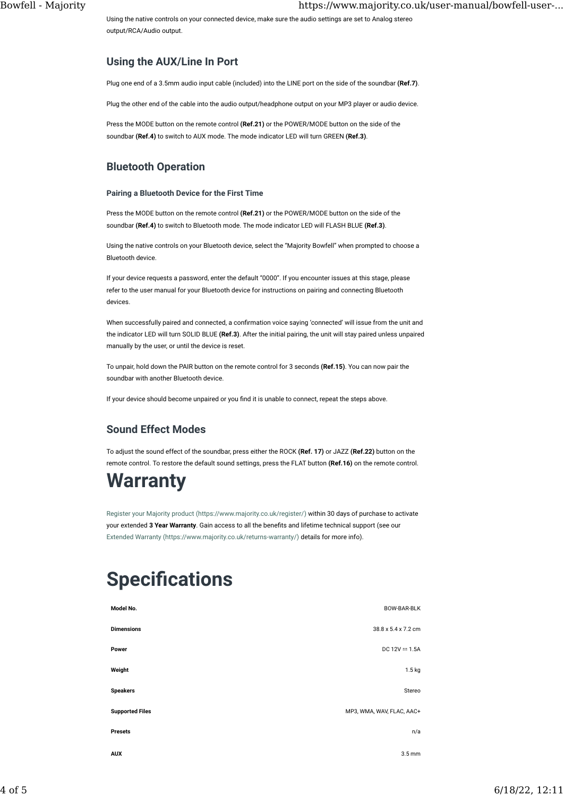Using the native controls on your connected device, make sure the audio settings are set to Analog stereo output/RCA/Audio output.

#### Using the AUX/Line In Port

Plug one end of a 3.5mm audio input cable (included) into the LINE port on the side of the soundbar (Ref.7).

Plug the other end of the cable into the audio output/headphone output on your MP3 player or audio device.

Press the MODE button on the remote control (Ref.21) or the POWER/MODE button on the side of the soundbar (Ref.4) to switch to AUX mode. The mode indicator LED will turn GREEN (Ref.3).

#### Bluetooth Operation

#### Pairing a Bluetooth Device for the First Time

Press the MODE button on the remote control (Ref.21) or the POWER/MODE button on the side of the soundbar (Ref.4) to switch to Bluetooth mode. The mode indicator LED will FLASH BLUE (Ref.3).

Using the native controls on your Bluetooth device, select the "Majority Bowfell" when prompted to choose a Bluetooth device.

If your device requests a password, enter the default "0000". If you encounter issues at this stage, please refer to the user manual for your Bluetooth device for instructions on pairing and connecting Bluetooth devices.

When successfully paired and connected, a confirmation voice saying 'connected' will issue from the unit and the indicator LED will turn SOLID BLUE (Ref.3). After the initial pairing, the unit will stay paired unless unpaired manually by the user, or until the device is reset.

To unpair, hold down the PAIR button on the remote control for 3 seconds (Ref.15). You can now pair the soundbar with another Bluetooth device.

If your device should become unpaired or you find it is unable to connect, repeat the steps above.

#### Sound Effect Modes

To adjust the sound effect of the soundbar, press either the ROCK (Ref. 17) or JAZZ (Ref.22) button on the remote control. To restore the default sound settings, press the FLAT button (Ref.16) on the remote control.

### **Warranty**

[Register your Majority product \(https://www.majority.co.uk/register/\)](https://www.majority.co.uk/register/) within 30 days of purchase to activate your extended 3 Year Warranty. Gain access to all the benefits and lifetime technical support (see our [Extended Warranty \(https://www.majority.co.uk/returns-warranty/\)](https://www.majority.co.uk/returns-warranty/) details for more info).

# **Specifications**

| Model No.              | BOW-BAR-BLK               |
|------------------------|---------------------------|
| <b>Dimensions</b>      | 38.8 x 5.4 x 7.2 cm       |
| Power                  | DC $12V = 1.5A$           |
| Weight                 | 1.5 kg                    |
| <b>Speakers</b>        | Stereo                    |
| <b>Supported Files</b> | MP3, WMA, WAV, FLAC, AAC+ |
| Presets                | n/a                       |
| AUX                    | $3.5 \text{ mm}$          |